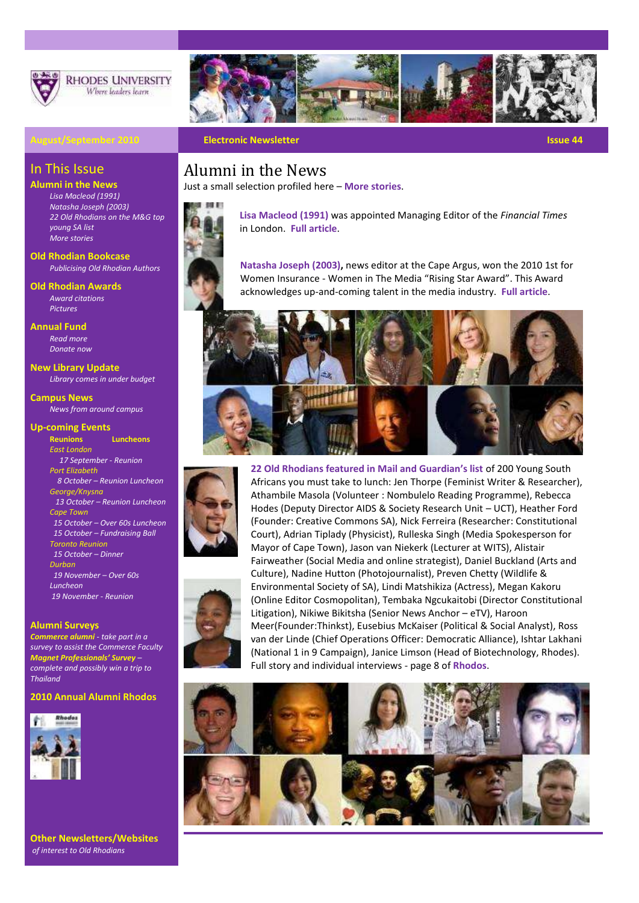

**RHODES UNIVERSITY** Where leaders learn



### **August/September 2010 Electronic Newsletter Issue 44**

### In This Issue

**Alumni in the News**

*[Lisa Macleod \(1991\)](http://www.ru.ac.za/modules/blog_include/blog_content.php?blog_id=1334) [Natasha Joseph \(2003\)](http://www.ru.ac.za/modules/blog_include/blog_content.php?blog_id=1249) [22 Old Rhodians on the M&G top](https://www.ru.ac.za/static/rhodos/rhodos20100813.pdf)  [young SA list](https://www.ru.ac.za/static/rhodos/rhodos20100813.pdf) [More stories](http://www.ru.ac.za/alumni/latestnewsonalumni)*

#### **[Old](http://www.ru.ac.za/alumni/news/hotgossip/publishedbooks) Rhodian Bookcase** *[Publicising Old Rhodian Authors](http://www.ru.ac.za/alumni/news/oldrhodianauthors)*

**[Old](http://www.myvirtualpaper.com/doc/rhodes_university/rhodos_april/2010032201/) Rhodian Awards**  *[Award citations](http://www.ru.ac.za/alumni/oldrhodianunion/oldrhodianawards/2010recipients) [Pictures](http://www.ru.ac.za/static/gallery/v/Alumni/Old+Rhodian+Awards+2010/)*

**Annual Fund** *[Read more](http://www.ru.ac.za/annualfund/) [Donate now](https://www.ru.ac.za/static/donate/annualfund/donate.php)*

**New Library Update**

*[Library comes in under budget](https://www.ru.ac.za/modules/blog_include/blog_content.php?blog_id=1350)*

**Campus News** *[News from around campus](https://www.ru.ac.za/modules/blog_include/blog_archive.php?page_id=1)*

#### **Up-coming Events**

**[Reunions](http://www.ru.ac.za/alumni/gettingtogether/reunions) [Luncheons](http://www.ru.ac.za/alumni/gettingtogether/luncheons)** *East London 17 September - Reunion Port Elizabeth 8 October – Reunion Luncheon George/Knysna 13 October – Reunion Luncheon Cape Town 15 October – Over 60s Luncheon 15 October – Fundraising Ball Toronto Reunion 15 October – Dinner Durban 19 November – Over 60s Luncheon 19 November - Reunion*

#### **Alumni Surveys**

*[Commerce alumni](http://ruconnected.ru.ac.za/mod/questionnaire/view.php?id=70573) - take part in a survey to assist the Commerce Faculty [Magnet Professionals](http://survey.confirmit.com/wix/p1298899705.aspx?reid=19)' Survey – complete and possibly win a trip to Thailand*

#### **2010 Annual Alumni Rhodos**



**Other Newsletters/Websites** *of interest to Old Rhodians* 

### Alumni in the News

Just a small selection profiled here – **[More stories](http://www.ru.ac.za/alumni/latestnewsonalumni)**.



**Lisa Macleod (1991)** was appointed Managing Editor of the *Financial Times* in London. **Full [article](http://www.ru.ac.za/modules/blog_include/blog_content.php?blog_id=1334)**.

**Natasha Joseph (2003),** news editor at the Cape Argus, won the 2010 1st for Women Insurance - Women in The Media "Rising Star Award". This Award acknowledges up-and-coming talent in the media industry. **[Full article](http://www.ru.ac.za/modules/blog_include/blog_content.php?blog_id=1249)**.





**22 Old Rhodians featured in Mail and Guardian's list** of 200 Young South Africans you must take to lunch: Jen Thorpe (Feminist Writer & Researcher), Athambile Masola (Volunteer : Nombulelo Reading Programme), Rebecca Hodes (Deputy Director AIDS & Society Research Unit – UCT), Heather Ford (Founder: Creative Commons SA), Nick Ferreira (Researcher: Constitutional Court), Adrian Tiplady (Physicist), Rulleska Singh (Media Spokesperson for Mayor of Cape Town), Jason van Niekerk (Lecturer at WITS), Alistair Fairweather (Social Media and online strategist), Daniel Buckland (Arts and Culture), Nadine Hutton (Photojournalist), Preven Chetty (Wildlife & Environmental Society of SA), Lindi Matshikiza (Actress), Megan Kakoru (Online Editor Cosmopolitan), Tembaka Ngcukaitobi (Director Constitutional Litigation), Nikiwe Bikitsha (Senior News Anchor – eTV), Haroon Meer(Founder:Thinkst), Eusebius McKaiser (Political & Social Analyst), Ross van der Linde (Chief Operations Officer: Democratic Alliance), Ishtar Lakhani (National 1 in 9 Campaign), Janice Limson (Head of Biotechnology, Rhodes). Full story and individual interviews - page 8 of **[Rhodos](https://www.ru.ac.za/static/rhodos/rhodos20100813.pdf)**.

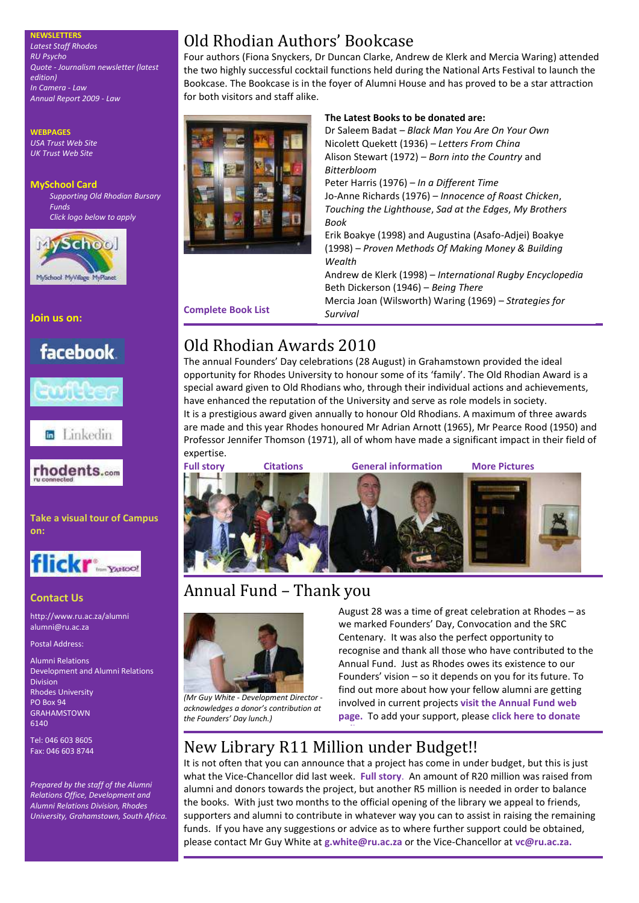**NEWSLETTERS** *[Latest Staff Rhodos](https://www.ru.ac.za/static/rhodos/rhodos20100813.pdf) [RU Psycho](https://www.ru.ac.za/documents/Psychology/Newsletter%202009%20Final.pdf) Quote - [Journalism](http://www.ru.ac.za/jms/publications/quote) newsletter (latest edition) [In Camera -](https://www.ru.ac.za/documents/Law/10-Students/InCamera%202009%20for%20web.pdf) Law [Annual Report 2009 -](https://www.ru.ac.za/documents/Law/1-Law%20Home%20Page/Law%20Annual%20Report%20for%202009.pdf) Law*

**WEBPAGES** *[USA Trust Web Site](http://www.rhodesalumni.com/) [UK Trust Web Site](http://www.rhodesalumni.co.uk/)*

**MySchool Card** *Supporting Old Rhodian Bursary Funds Click logo below to apply*



**Join us on:**

# facebook.



**to** Linkedin



**Take a visual tour of Campus on:**



### **Contact Us**

<http://www.ru.ac.za/alumni> [alumni@ru.ac.za](mailto:alumni@ru.ac.za)

Postal Address:

Alumni Relations Development and Alumni Relations Division Rhodes University PO Box 94 GRAHAMSTOWN 6140

Tel: 046 603 8605 Fax: 046 603 8744

*Prepared by the staff of the Alumni Relations Office, Development and Alumni Relations Division, Rhodes University, Grahamstown, South Africa.*

# Old Rhodian Authors' Bookcase

Four authors (Fiona Snyckers, Dr Duncan Clarke, Andrew de Klerk and Mercia Waring) attended the two highly successful cocktail functions held during the National Arts Festival to launch the Bookcase. The Bookcase is in the foyer of Alumni House and has proved to be a star attraction for both visitors and staff alike.



### **The Latest Books to be donated are:**

Dr Saleem Badat – *Black Man You Are On Your Own* Nicolett Quekett (1936) – *Letters From China* Alison Stewart (1972) – *Born into the Country* and *Bitterbloom* Peter Harris (1976) – *In a Different Time* Jo-Anne Richards (1976) – *Innocence of Roast Chicken*, *Touching the Lighthouse*, *Sad at the Edges*, *My Brothers Book* Erik Boakye (1998) and Augustina (Asafo-Adjei) Boakye (1998) – *Proven Methods Of Making Money & Building Wealth* Andrew de Klerk (1998) – *International Rugby Encyclopedia* Beth Dickerson (1946) – *Being There* [Mercia Joan \(Wilsworth\) Waring \(1969\)](http://www.ru.ac.za/alumni/news/oldrhodianauthors) – *Strategies for Survival*

**Complete Book List**

# Old Rhodian Awards 2010

The annual Founders' Day celebrations (28 August) in Grahamstown provided the ideal opportunity for Rhodes University to honour some of its 'family'. The Old Rhodian Award is a special award given to Old Rhodians who, through their individual actions and achievements, have enhanced the reputation of the University and serve as role models in society. It is a prestigious award given annually to honour Old Rhodians. A maximum of three awards are made and this year Rhodes honoured Mr Adrian Arnott (1965), Mr Pearce Rood (1950) and Professor Jennifer Thomson (1971), all of whom have made a significant impact in their field of expertise.



# Annual Fund – Thank you



*(Mr Guy White - Development Director acknowledges a donor's contribution at the Founders' Day lunch.)*

August 28 was a time of great celebration at Rhodes – as we marked Founders' Day, Convocation and the SRC Centenary. It was also the perfect opportunity to recognise and thank all those who have contributed to the Annual Fund. Just as Rhodes owes its existence to our Founders' vision – so it depends on you for its future. To find out more about how your fellow alumni are getting involved in current projects **[visit the Annual Fund web](http://www.ru.ac.za/annualfund)  [page.](http://www.ru.ac.za/annualfund)** To add your support, please **[click here to donate](https://www.ru.ac.za/static/donate/annualfund/donate.php)** 

# New Library R11 Million under Budget!!

**[online](https://www.ru.ac.za/static/donate/annualfund/donate.php)** .

It is not often that you can announce that a project has come in under budget, but this is just what the Vice-Chancellor did last week. **[Full story](https://www.ru.ac.za/modules/blog_include/blog_content.php?blog_id=1350)**. An amount of R20 million was raised from alumni and donors towards the project, but another R5 million is needed in order to balance the books. With just two months to the official opening of the library we appeal to friends, supporters and alumni to contribute in whatever way you can to assist in raising the remaining funds. If you have any suggestions or advice as to where further support could be obtained, please contact Mr Guy White at **[g.white@ru.ac.za](mailto:g.white@ru.ac.za)** or the Vice-Chancellor at **[vc@ru.ac.za.](mailto:vc@ru.ac.za)**